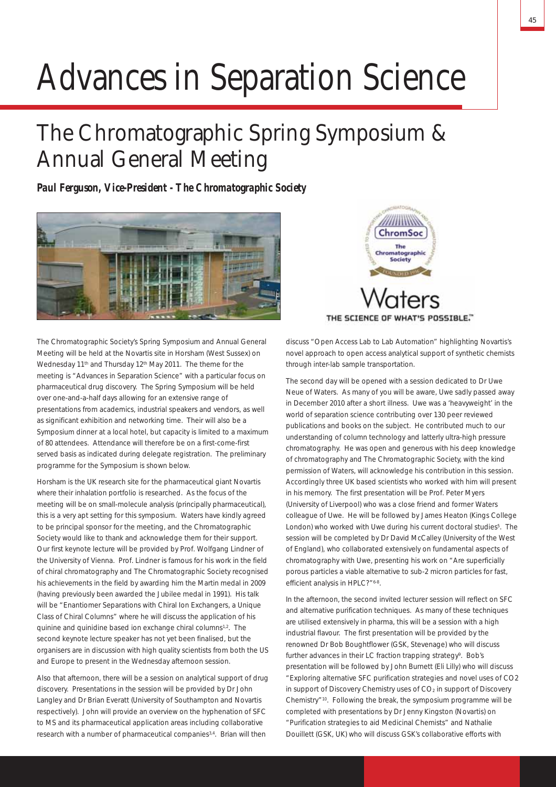# Advances in Separation Science

## The Chromatographic Spring Symposium & Annual General Meeting

*Paul Ferguson, Vice-President - The Chromatographic Society*





The Chromatographic Society's Spring Symposium and Annual General Meeting will be held at the Novartis site in Horsham (West Sussex) on Wednesday 11<sup>th</sup> and Thursday 12<sup>th</sup> May 2011. The theme for the meeting is "Advances in Separation Science" with a particular focus on pharmaceutical drug discovery. The Spring Symposium will be held over one-and-a-half days allowing for an extensive range of presentations from academics, industrial speakers and vendors, as well as significant exhibition and networking time. Their will also be a Symposium dinner at a local hotel, but capacity is limited to a maximum of 80 attendees. Attendance will therefore be on a first-come-first served basis as indicated during delegate registration. The preliminary programme for the Symposium is shown below.

Horsham is the UK research site for the pharmaceutical giant Novartis where their inhalation portfolio is researched. As the focus of the meeting will be on small-molecule analysis (principally pharmaceutical), this is a very apt setting for this symposium. Waters have kindly agreed to be principal sponsor for the meeting, and the Chromatographic Society would like to thank and acknowledge them for their support. Our first keynote lecture will be provided by Prof. Wolfgang Lindner of the University of Vienna. Prof. Lindner is famous for his work in the field of chiral chromatography and The Chromatographic Society recognised his achievements in the field by awarding him the Martin medal in 2009 (having previously been awarded the Jubilee medal in 1991). His talk will be "Enantiomer Separations with Chiral Ion Exchangers, a Unique Class of Chiral Columns" where he will discuss the application of his quinine and quinidine based ion exchange chiral columns<sup>1,2</sup>. The second keynote lecture speaker has not yet been finalised, but the organisers are in discussion with high quality scientists from both the US and Europe to present in the Wednesday afternoon session.

Also that afternoon, there will be a session on analytical support of drug discovery. Presentations in the session will be provided by Dr John Langley and Dr Brian Everatt (University of Southampton and Novartis respectively). John will provide an overview on the hyphenation of SFC to MS and its pharmaceutical application areas including collaborative research with a number of pharmaceutical companies<sup>3,4</sup>. Brian will then

discuss "Open Access Lab to Lab Automation" highlighting Novartis's novel approach to open access analytical support of synthetic chemists through inter-lab sample transportation.

The second day will be opened with a session dedicated to Dr Uwe Neue of Waters. As many of you will be aware, Uwe sadly passed away in December 2010 after a short illness. Uwe was a 'heavyweight' in the world of separation science contributing over 130 peer reviewed publications and books on the subject. He contributed much to our understanding of column technology and latterly ultra-high pressure chromatography. He was open and generous with his deep knowledge of chromatography and The Chromatographic Society, with the kind permission of Waters, will acknowledge his contribution in this session. Accordingly three UK based scientists who worked with him will present in his memory. The first presentation will be Prof. Peter Myers (University of Liverpool) who was a close friend and former Waters colleague of Uwe. He will be followed by James Heaton (Kings College London) who worked with Uwe during his current doctoral studies<sup>5</sup>. The session will be completed by Dr David McCalley (University of the West of England), who collaborated extensively on fundamental aspects of chromatography with Uwe, presenting his work on "Are superficially porous particles a viable alternative to sub-2 micron particles for fast, efficient analysis in HPLC?" 6-8.

In the afternoon, the second invited lecturer session will reflect on SFC and alternative purification techniques. As many of these techniques are utilised extensively in pharma, this will be a session with a high industrial flavour. The first presentation will be provided by the renowned Dr Bob Boughtflower (GSK, Stevenage) who will discuss further advances in their LC fraction trapping strategy<sup>9</sup>. Bob's presentation will be followed by John Burnett (Eli Lilly) who will discuss "Exploring alternative SFC purification strategies and novel uses of CO2 in support of Discovery Chemistry uses of CO<sub>2</sub> in support of Discovery Chemistry"10. Following the break, the symposium programme will be completed with presentations by Dr Jenny Kingston (Novartis) on "Purification strategies to aid Medicinal Chemists" and Nathalie Douillett (GSK, UK) who will discuss GSK's collaborative efforts with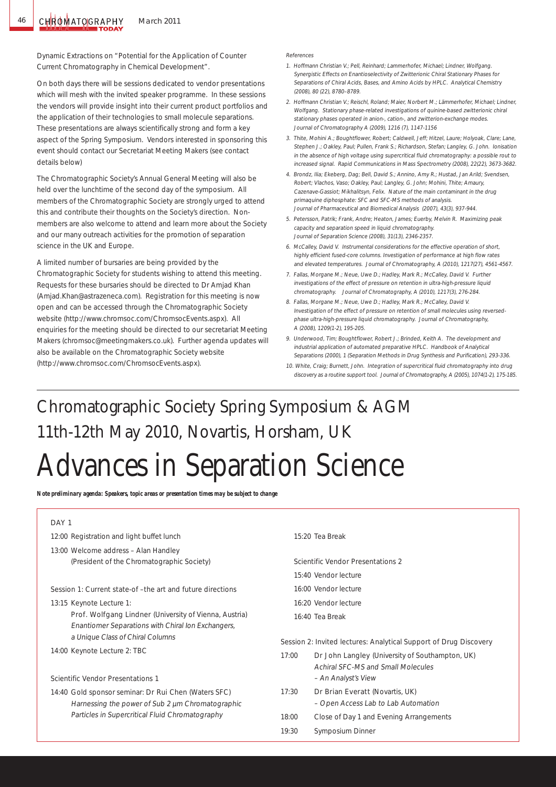Dynamic Extractions on "Potential for the Application of Counter Current Chromatography in Chemical Development".

On both days there will be sessions dedicated to vendor presentations which will mesh with the invited speaker programme. In these sessions the vendors will provide insight into their current product portfolios and the application of their technologies to small molecule separations. These presentations are always scientifically strong and form a key aspect of the Spring Symposium. Vendors interested in sponsoring this event should contact our Secretariat Meeting Makers (see contact details below)

The Chromatographic Society's Annual General Meeting will also be held over the lunchtime of the second day of the symposium. All members of the Chromatographic Society are strongly urged to attend this and contribute their thoughts on the Society's direction. Nonmembers are also welcome to attend and learn more about the Society and our many outreach activities for the promotion of separation science in the UK and Europe.

A limited number of bursaries are being provided by the Chromatographic Society for students wishing to attend this meeting. Requests for these bursaries should be directed to Dr Amjad Khan (Amjad.Khan@astrazeneca.com). Registration for this meeting is now open and can be accessed through the Chromatographic Society website (http://www.chromsoc.com/ChromsocEvents.aspx). All enquiries for the meeting should be directed to our secretariat Meeting Makers (chromsoc@meetingmakers.co.uk). Further agenda updates will also be available on the Chromatographic Society website (http://www.chromsoc.com/ChromsocEvents.aspx).

#### References

- 1. Hoffmann Christian V.; Pell, Reinhard; Lammerhofer, Michael; Lindner, Wolfgang. Synergistic Effects on Enantioselectivity of Zwitterionic Chiral Stationary Phases for Separations of Chiral Acids, Bases, and Amino Acids by HPLC. Analytical Chemistry (2008), 80 (22), 8780–8789.
- 2. Hoffmann Christian V.; Reischl, Roland; Maier, Norbert M.; Lämmerhofer, Michael; Lindner, Wolfgang. Stationary phase-related investigations of quinine-based zwitterionic chiral stationary phases operated in anion-, cation-, and zwitterion-exchange modes. Journal of Chromatography A (2009), 1216 (7), 1147-1156
- 3. Thite, Mohini A.; Boughtflower, Robert; Caldwell, Jeff; Hitzel, Laure; Holyoak, Clare; Lane, Stephen J.; Oakley, Paul; Pullen, Frank S.; Richardson, Stefan; Langley, G. John. Ionisation in the absence of high voltage using supercritical fluid chromatography: a possible rout to increased signal. Rapid Communications in Mass Spectrometry (2008), 22(22), 3673-3682.
- 4. Brondz, Ilia; Ekeberg, Dag; Bell, David S.; Annino, Amy R.; Hustad, Jan Arild; Svendsen, Robert; Vlachos, Vaso; Oakley, Paul; Langley, G. John; Mohini, Thite; Amaury, Cazenave-Gassiot; Mikhalitsyn, Felix. Nature of the main contaminant in the drug primaquine diphosphate: SFC and SFC-MS methods of analysis. Journal of Pharmaceutical and Biomedical Analysis (2007), 43(3), 937-944.
- 5. Petersson, Patrik; Frank, Andre; Heaton, James; Euerby, Melvin R. Maximizing peak capacity and separation speed in liquid chromatography. Journal of Separation Science (2008), 31(13), 2346-2357.
- 6. McCalley, David V. Instrumental considerations for the effective operation of short, highly efficient fused-core columns. Investigation of performance at high flow rates and elevated temperatures. Journal of Chromatography, A (2010), 1217(27), 4561-4567.
- 7. Fallas, Morgane M.; Neue, Uwe D.; Hadley, Mark R.; McCalley, David V. Further investigations of the effect of pressure on retention in ultra-high-pressure liquid chromatography. Journal of Chromatography, A (2010), 1217(3), 276-284.
- 8. Fallas, Morgane M.; Neue, Uwe D.; Hadley, Mark R.; McCalley, David V. Investigation of the effect of pressure on retention of small molecules using reversedphase ultra-high-pressure liquid chromatography. Journal of Chromatography, A (2008), 1209(1-2), 195-205.
- 9. Underwood, Tim; Boughtflower, Robert J.; Brinded, Keith A. The development and industrial application of automated preparative HPLC. Handbook of Analytical Separations (2000), 1 (Separation Methods in Drug Synthesis and Purification), 293-336.
- 10. White, Craig; Burnett, John. Integration of supercritical fluid chromatography into drug discovery as a routine support tool. Journal of Chromatography, A (2005), 1074(1-2), 175-185.

## Chromatographic Society Spring Symposium & AGM 11th-12th May 2010, Novartis, Horsham, UK Advances in Separation Science

*Note preliminary agenda: Speakers, topic areas or presentation times may be subject to change*

#### DAY<sub>1</sub>

- 12:00 Registration and light buffet lunch
- 13:00 Welcome address Alan Handley (President of the Chromatographic Society)

#### Session 1: Current state-of –the art and future directions

13:15 Keynote Lecture 1:

Prof. Wolfgang Lindner (University of Vienna, Austria) Enantiomer Separations with Chiral Ion Exchangers, a Unique Class of Chiral Columns

14:00 Keynote Lecture 2: TBC

#### Scientific Vendor Presentations 1

14:40 Gold sponsor seminar: Dr Rui Chen (Waters SFC) Harnessing the power of Sub 2  $\mu$ m Chromatographic Particles in Supercritical Fluid Chromatography

#### 15:20 Tea Break

- Scientific Vendor Presentations 2
- 15:40 Vendor lecture
- 16:00 Vendor lecture
- 16:20 Vendor lecture
- 16:40 Tea Break

#### Session 2: Invited lectures: Analytical Support of Drug Discovery

- 17:00 **Dr John Langley** (University of Southampton, UK) Achiral SFC-MS and Small Molecules – An Analyst's View
- 17:30 Dr Brian Everatt (Novartis, UK) – Open Access Lab to Lab Automation
- 18:00 Close of Day 1 and Evening Arrangements
- 19:30 Symposium Dinner